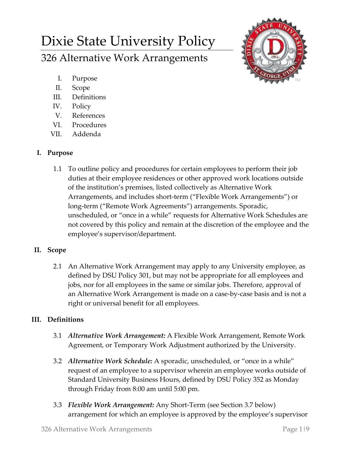# Dixie State University Policy 326 Alternative Work Arrangements



- I. Purpose
- II. Scope
- III. Definitions
- IV. Policy
- V. References
- VI. Procedures
- VII. Addenda

# **I. Purpose**

1.1 To outline policy and procedures for certain employees to perform their job duties at their employee residences or other approved work locations outside of the institution's premises, listed collectively as Alternative Work Arrangements, and includes short-term ("Flexible Work Arrangements") or long-term ("Remote Work Agreements") arrangements. Sporadic, unscheduled, or "once in a while" requests for Alternative Work Schedules are not covered by this policy and remain at the discretion of the employee and the employee's supervisor/department.

# **II. Scope**

2.1 An Alternative Work Arrangement may apply to any University employee, as defined by DSU Policy 301, but may not be appropriate for all employees and jobs, nor for all employees in the same or similar jobs. Therefore, approval of an Alternative Work Arrangement is made on a case-by-case basis and is not a right or universal benefit for all employees.

# **III. Definitions**

- 3.1 *Alternative Work Arrangement:* A Flexible Work Arrangement, Remote Work Agreement, or Temporary Work Adjustment authorized by the University.
- 3.2 *Alternative Work Schedule:* A sporadic, unscheduled, or "once in a while" request of an employee to a supervisor wherein an employee works outside of Standard University Business Hours, defined by DSU Policy 352 as Monday through Friday from 8:00 am until 5:00 pm.
- 3.3 *Flexible Work Arrangement:* Any Short-Term (see Section 3.7 below) arrangement for which an employee is approved by the employee's supervisor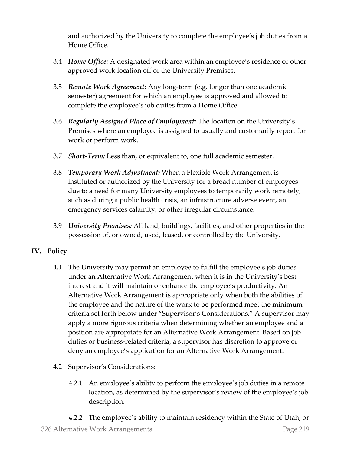and authorized by the University to complete the employee's job duties from a Home Office.

- 3.4 *Home Office:* A designated work area within an employee's residence or other approved work location off of the University Premises.
- 3.5 *Remote Work Agreement:* Any long-term (e.g. longer than one academic semester) agreement for which an employee is approved and allowed to complete the employee's job duties from a Home Office.
- 3.6 *Regularly Assigned Place of Employment:* The location on the University's Premises where an employee is assigned to usually and customarily report for work or perform work.
- 3.7 *Short-Term:* Less than, or equivalent to, one full academic semester.
- 3.8 *Temporary Work Adjustment:* When a Flexible Work Arrangement is instituted or authorized by the University for a broad number of employees due to a need for many University employees to temporarily work remotely, such as during a public health crisis, an infrastructure adverse event, an emergency services calamity, or other irregular circumstance.
- 3.9 *University Premises:* All land, buildings, facilities, and other properties in the possession of, or owned, used, leased, or controlled by the University.

## **IV. Policy**

- 4.1 The University may permit an employee to fulfill the employee's job duties under an Alternative Work Arrangement when it is in the University's best interest and it will maintain or enhance the employee's productivity. An Alternative Work Arrangement is appropriate only when both the abilities of the employee and the nature of the work to be performed meet the minimum criteria set forth below under "Supervisor's Considerations." A supervisor may apply a more rigorous criteria when determining whether an employee and a position are appropriate for an Alternative Work Arrangement. Based on job duties or business-related criteria, a supervisor has discretion to approve or deny an employee's application for an Alternative Work Arrangement.
- 4.2 Supervisor's Considerations:
	- 4.2.1 An employee's ability to perform the employee's job duties in a remote location, as determined by the supervisor's review of the employee's job description.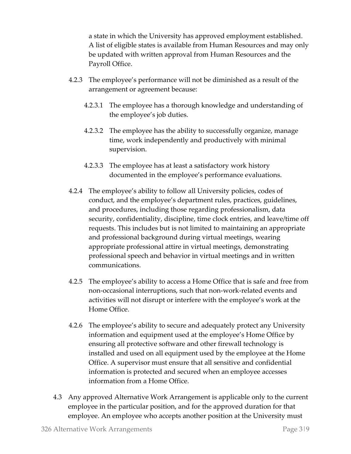a state in which the University has approved employment established. A list of eligible states is available from Human Resources and may only be updated with written approval from Human Resources and the Payroll Office.

- 4.2.3 The employee's performance will not be diminished as a result of the arrangement or agreement because:
	- 4.2.3.1 The employee has a thorough knowledge and understanding of the employee's job duties.
	- 4.2.3.2 The employee has the ability to successfully organize, manage time, work independently and productively with minimal supervision.
	- 4.2.3.3 The employee has at least a satisfactory work history documented in the employee's performance evaluations.
- 4.2.4 The employee's ability to follow all University policies, codes of conduct, and the employee's department rules, practices, guidelines, and procedures, including those regarding professionalism, data security, confidentiality, discipline, time clock entries, and leave/time off requests. This includes but is not limited to maintaining an appropriate and professional background during virtual meetings, wearing appropriate professional attire in virtual meetings, demonstrating professional speech and behavior in virtual meetings and in written communications.
- 4.2.5 The employee's ability to access a Home Office that is safe and free from non-occasional interruptions, such that non-work-related events and activities will not disrupt or interfere with the employee's work at the Home Office.
- 4.2.6 The employee's ability to secure and adequately protect any University information and equipment used at the employee's Home Office by ensuring all protective software and other firewall technology is installed and used on all equipment used by the employee at the Home Office. A supervisor must ensure that all sensitive and confidential information is protected and secured when an employee accesses information from a Home Office.
- 4.3 Any approved Alternative Work Arrangement is applicable only to the current employee in the particular position, and for the approved duration for that employee. An employee who accepts another position at the University must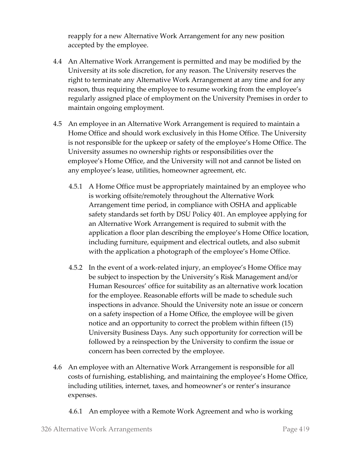reapply for a new Alternative Work Arrangement for any new position accepted by the employee.

- 4.4 An Alternative Work Arrangement is permitted and may be modified by the University at its sole discretion, for any reason. The University reserves the right to terminate any Alternative Work Arrangement at any time and for any reason, thus requiring the employee to resume working from the employee's regularly assigned place of employment on the University Premises in order to maintain ongoing employment.
- 4.5 An employee in an Alternative Work Arrangement is required to maintain a Home Office and should work exclusively in this Home Office. The University is not responsible for the upkeep or safety of the employee's Home Office. The University assumes no ownership rights or responsibilities over the employee's Home Office, and the University will not and cannot be listed on any employee's lease, utilities, homeowner agreement, etc.
	- 4.5.1 A Home Office must be appropriately maintained by an employee who is working offsite/remotely throughout the Alternative Work Arrangement time period, in compliance with OSHA and applicable safety standards set forth by DSU Policy 401. An employee applying for an Alternative Work Arrangement is required to submit with the application a floor plan describing the employee's Home Office location, including furniture, equipment and electrical outlets, and also submit with the application a photograph of the employee's Home Office.
	- 4.5.2 In the event of a work-related injury, an employee's Home Office may be subject to inspection by the University's Risk Management and/or Human Resources' office for suitability as an alternative work location for the employee. Reasonable efforts will be made to schedule such inspections in advance. Should the University note an issue or concern on a safety inspection of a Home Office, the employee will be given notice and an opportunity to correct the problem within fifteen (15) University Business Days. Any such opportunity for correction will be followed by a reinspection by the University to confirm the issue or concern has been corrected by the employee.
- 4.6 An employee with an Alternative Work Arrangement is responsible for all costs of furnishing, establishing, and maintaining the employee's Home Office, including utilities, internet, taxes, and homeowner's or renter's insurance expenses.
	- 4.6.1 An employee with a Remote Work Agreement and who is working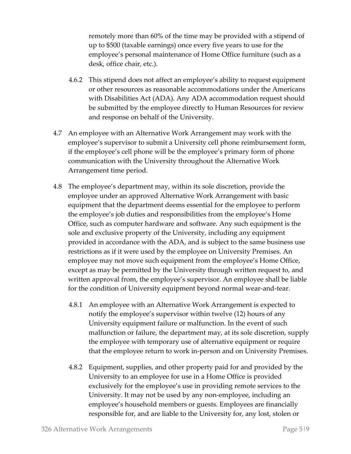remotely more than 60% of the time may be provided with a stipend of up to \$500 (taxable earnings) once every five years to use for the employee's personal maintenance of Home Office furniture (such as a desk, office chair, etc.).

- 4.6.2 This stipend does not affect an employee's ability to request equipment or other resources as reasonable accommodations under the Americans with Disabilities Act (ADA). Any ADA accommodation request should be submitted by the employee directly to Human Resources for review and response on behalf of the University.
- 4.7 An employee with an Alternative Work Arrangement may work with the employee's supervisor to submit a University cell phone reimbursement form, if the employee's cell phone will be the employee's primary form of phone communication with the University throughout the Alternative Work Arrangement time period.
- 4.8 The employee's department may, within its sole discretion, provide the employee under an approved Alternative Work Arrangement with basic equipment that the department deems essential for the employee to perform the employee's job duties and responsibilities from the employee's Home Office, such as computer hardware and software. Any such equipment is the sole and exclusive property of the University, including any equipment provided in accordance with the ADA, and is subject to the same business use restrictions as if it were used by the employee on University Premises. An employee may not move such equipment from the employee's Home Office, except as may be permitted by the University through written request to, and written approval from, the employee's supervisor. An employee shall be liable for the condition of University equipment beyond normal wear-and-tear.
	- 4.8.1 An employee with an Alternative Work Arrangement is expected to notify the employee's supervisor within twelve (12) hours of any University equipment failure or malfunction. In the event of such malfunction or failure, the department may, at its sole discretion, supply the employee with temporary use of alternative equipment or require that the employee return to work in-person and on University Premises.
	- 4.8.2 Equipment, supplies, and other property paid for and provided by the University to an employee for use in a Home Office is provided exclusively for the employee's use in providing remote services to the University. It may not be used by any non-employee, including an employee's household members or guests. Employees are financially responsible for, and are liable to the University for, any lost, stolen or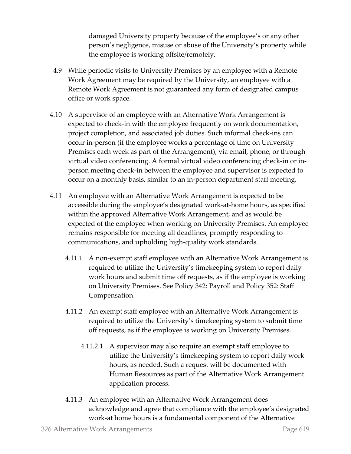damaged University property because of the employee's or any other person's negligence, misuse or abuse of the University's property while the employee is working offsite/remotely.

- 4.9 While periodic visits to University Premises by an employee with a Remote Work Agreement may be required by the University, an employee with a Remote Work Agreement is not guaranteed any form of designated campus office or work space.
- 4.10 A supervisor of an employee with an Alternative Work Arrangement is expected to check-in with the employee frequently on work documentation, project completion, and associated job duties. Such informal check-ins can occur in-person (if the employee works a percentage of time on University Premises each week as part of the Arrangement), via email, phone, or through virtual video conferencing. A formal virtual video conferencing check-in or inperson meeting check-in between the employee and supervisor is expected to occur on a monthly basis, similar to an in-person department staff meeting.
- 4.11 An employee with an Alternative Work Arrangement is expected to be accessible during the employee's designated work-at-home hours, as specified within the approved Alternative Work Arrangement, and as would be expected of the employee when working on University Premises. An employee remains responsible for meeting all deadlines, promptly responding to communications, and upholding high-quality work standards.
	- 4.11.1 A non-exempt staff employee with an Alternative Work Arrangement is required to utilize the University's timekeeping system to report daily work hours and submit time off requests, as if the employee is working on University Premises. See Policy 342: Payroll and Policy 352: Staff Compensation.
	- 4.11.2 An exempt staff employee with an Alternative Work Arrangement is required to utilize the University's timekeeping system to submit time off requests, as if the employee is working on University Premises.
		- 4.11.2.1 A supervisor may also require an exempt staff employee to utilize the University's timekeeping system to report daily work hours, as needed. Such a request will be documented with Human Resources as part of the Alternative Work Arrangement application process.
	- 4.11.3 An employee with an Alternative Work Arrangement does acknowledge and agree that compliance with the employee's designated work-at home hours is a fundamental component of the Alternative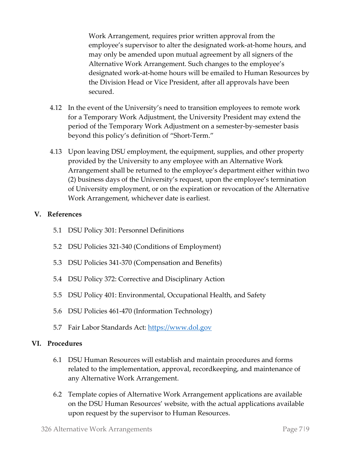Work Arrangement, requires prior written approval from the employee's supervisor to alter the designated work-at-home hours, and may only be amended upon mutual agreement by all signers of the Alternative Work Arrangement. Such changes to the employee's designated work-at-home hours will be emailed to Human Resources by the Division Head or Vice President, after all approvals have been secured.

- 4.12 In the event of the University's need to transition employees to remote work for a Temporary Work Adjustment, the University President may extend the period of the Temporary Work Adjustment on a semester-by-semester basis beyond this policy's definition of "Short-Term."
- 4.13 Upon leaving DSU employment, the equipment, supplies, and other property provided by the University to any employee with an Alternative Work Arrangement shall be returned to the employee's department either within two (2) business days of the University's request, upon the employee's termination of University employment, or on the expiration or revocation of the Alternative Work Arrangement, whichever date is earliest.

## **V. References**

- 5.1 DSU Policy 301: Personnel Definitions
- 5.2 DSU Policies 321-340 (Conditions of Employment)
- 5.3 DSU Policies 341-370 (Compensation and Benefits)
- 5.4 DSU Policy 372: Corrective and Disciplinary Action
- 5.5 DSU Policy 401: Environmental, Occupational Health, and Safety
- 5.6 DSU Policies 461-470 (Information Technology)
- 5.7 Fair Labor Standards Act: [https://www.dol.gov](https://www.dol.gov/)

#### **VI. Procedures**

- 6.1 DSU Human Resources will establish and maintain procedures and forms related to the implementation, approval, recordkeeping, and maintenance of any Alternative Work Arrangement.
- 6.2 Template copies of Alternative Work Arrangement applications are available on the DSU Human Resources' website, with the actual applications available upon request by the supervisor to Human Resources.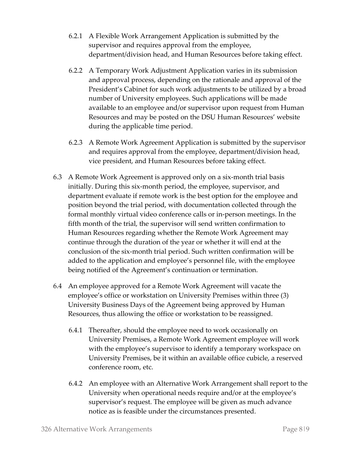- 6.2.1 A Flexible Work Arrangement Application is submitted by the supervisor and requires approval from the employee, department/division head, and Human Resources before taking effect.
- 6.2.2 A Temporary Work Adjustment Application varies in its submission and approval process, depending on the rationale and approval of the President's Cabinet for such work adjustments to be utilized by a broad number of University employees. Such applications will be made available to an employee and/or supervisor upon request from Human Resources and may be posted on the DSU Human Resources' website during the applicable time period.
- 6.2.3 A Remote Work Agreement Application is submitted by the supervisor and requires approval from the employee, department/division head, vice president, and Human Resources before taking effect.
- 6.3 A Remote Work Agreement is approved only on a six-month trial basis initially. During this six-month period, the employee, supervisor, and department evaluate if remote work is the best option for the employee and position beyond the trial period, with documentation collected through the formal monthly virtual video conference calls or in-person meetings. In the fifth month of the trial, the supervisor will send written confirmation to Human Resources regarding whether the Remote Work Agreement may continue through the duration of the year or whether it will end at the conclusion of the six-month trial period. Such written confirmation will be added to the application and employee's personnel file, with the employee being notified of the Agreement's continuation or termination.
- 6.4 An employee approved for a Remote Work Agreement will vacate the employee's office or workstation on University Premises within three (3) University Business Days of the Agreement being approved by Human Resources, thus allowing the office or workstation to be reassigned.
	- 6.4.1 Thereafter, should the employee need to work occasionally on University Premises, a Remote Work Agreement employee will work with the employee's supervisor to identify a temporary workspace on University Premises, be it within an available office cubicle, a reserved conference room, etc.
	- 6.4.2 An employee with an Alternative Work Arrangement shall report to the University when operational needs require and/or at the employee's supervisor's request. The employee will be given as much advance notice as is feasible under the circumstances presented.